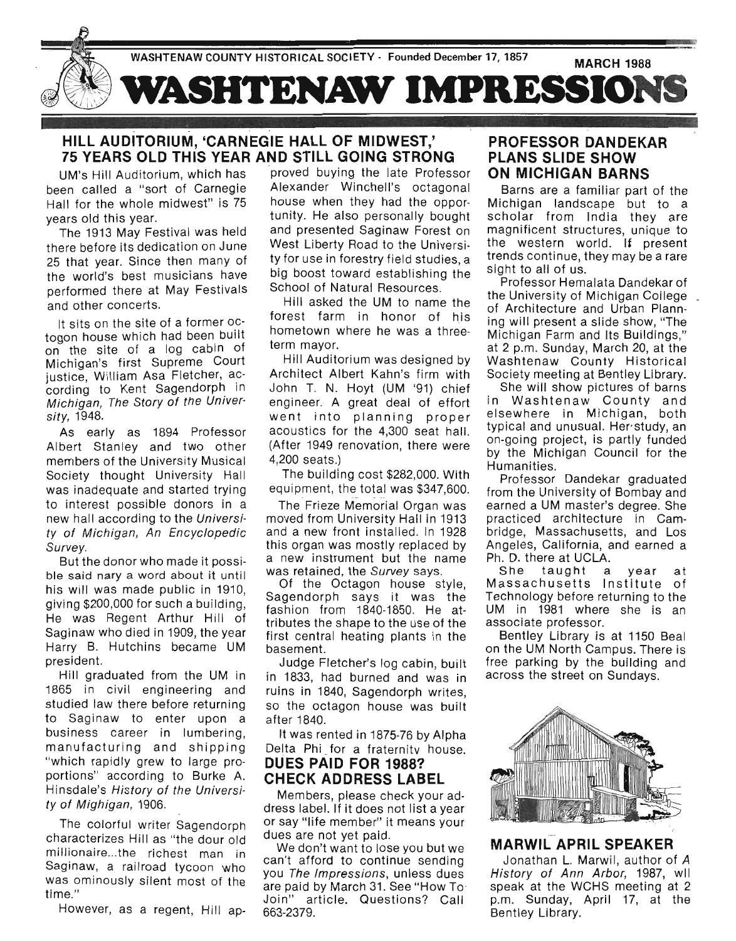

## **HILL AUDITORIUM, 'CARNEGIE HALL OF MIDWEST,' 75 YEARS OLD THIS YEAR AND STILL GOING STRONG**

UM's Hill Auditorium, which has been called a "sort of Carnegie Hall for the whole midwest" is 75 years old this year.

The 1913 May Festival was held there before its dedication on June 25 that year. Since then many of the world's best musicians have performed there at May Festivals and other concerts.

It sits on the site of a former octogon house which had been built on the site of a log cabin of Michigan's first Supreme Court justice, William Asa Fletcher, according to Kent Sagendorph In Michigan, The Story of the University, 1948.

As early as 1894 Professor Albert Stanley and two other members of the University Musical Society thought University Hall was inadequate and started trying to interest possible donors in a new hall according to the University of Michigan, An Encyclopedic Survey.

But the donor who made it possible said nary a word about it until his will was made public in 1910, giving \$200,000 for such a building, He was Regent Arthur Hill of Saginaw who died in 1909, the year Harry B. Hutchins became UM president.

Hill graduated from the UM in 1865 in civil engineering and studied law there before returning to Saginaw to enter upon a business career in lumbering, manufacturing and shipping "which rapidly grew to large proportions" according to Burke A. Hinsdale's History of the University of Mighigan, 1906.

The colorful writer Sagendorph characterizes Hill as "the dour old millionaire...the richest man in Saginaw, a railroad tycoon who was ominously silent most of the time."

However, as a regent, Hill ap-

proved buying the late Professor Alexander Winchell's octagonal house when they had the opportunity. He also personally bought and presented Saginaw Forest on West Liberty Road to the University for use in forestry field studies, a big boost toward establishing the School of Natural Resources.

Hill asked the UM to name the forest farm in honor of his hometown where he was a threeterm mayor.

Hill Auditorium was designed by Architect Albert Kahn's firm with John T. N. Hoyt (UM '91) chief engineer. A great deal of effort went into planning proper acoustics for the 4,300 seat hall. (After 1949 renovation, there were 4,200 seats.)

The building cost \$282,000. With equipment, the total was \$347,600.

The Frieze Memorial Organ was moved from University Hall in 1913 and a new front installed. In 1928 this organ was mostly replaced by a new instrument but the name was retained, the Survey says.

Of the Octagon house style, Sagendorph says it was the fashion from 1840-1850. He attributes the shape to the use of the first central heating plants in the basement.

Judge Fletcher's log cabin, built in 1833, had burned and was in ruins in 1840, Sagendorph writes, so the octagon house was built after 1840.

It was rented in 1875-76 by Alpha Delta Phi for a fraternity house.

## **DUES PAID FOR 1988? CHECK ADDRESS LABEL**

Members, please check your address label. If it does not list a year or say "life member" it means your dues are not yet paid.

We don't want to lose you but we can't afford to continue sending you The Impressions, unless dues are paid by March 31 . See "How To ' Join" article. Questions? Call 663-2379.

## **PROFESSOR DANDEKAR PLANS SLIDE SHOW ON MICHIGAN BARNS**

Barns are a familiar part of the Michigan landscape but to a scholar from India they are magnificent structures, unique to the western world. If present trends continue, they may be a rare sight to all of us.

Professor Hemalata Dandekar of the University of Michigan College of Architecture and Urban Planning will present a slide show, "The Michigan Farm and Its Buildings," at 2 p.m. Sunday, March 20, at the Washtenaw County Historical Society meeting at Bentley Library.

She will show pictures of barns in Washtenaw County and elsewhere in Michigan, both typical and unusual. Her study, an on-going project, is partly funded by the Michigan Council for the Humanities.

Professor Dandekar graduated from the University of Bombay and earned a UM master's degree. She practiced architecture in Cambridge, Massachusetts, and Los Angeles, California, and earned a Ph. D. there at UCLA.

She taught a year at Massachusetts Institute of Technology before returning to the UM in 1981 where she is an associate professor.

Bentley Library is at 1150 Beal on the UM North Campus. There is free parking by the building and across the street on Sundays.



## **MARWIL APRIL SPEAKER**

Jonathan L. Marwil, author of *A*  History of Ann Arbor, 1987, wll speak at the WCHS meeting at 2 p.m. Sunday, April 17, at the Bentley Library.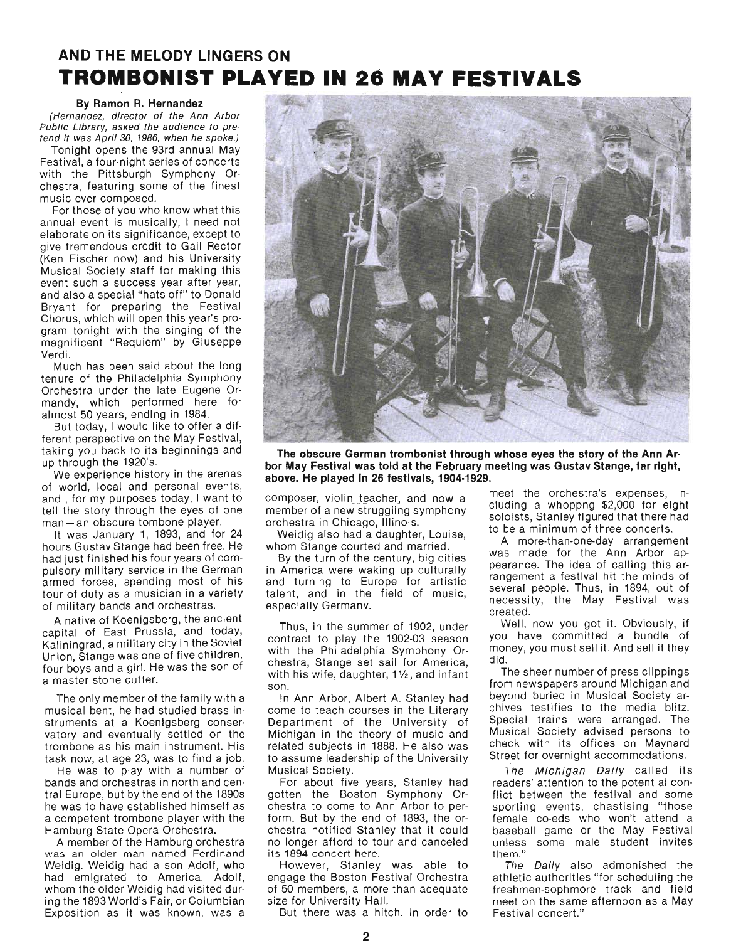# **AND THE MELODY LINGERS ON TROMBONIST PLAYED IN 26 MAY FESTIVALS**

### By Ramon R. Hernandez

(Hernandez, director of the Ann Arbor Public Library, asked the audience to pretend it was April 30, 1986, when he spoke.)

Tonight opens the 93rd annual May Festival, a four-night series of concerts with the Pittsburgh Symphony Orchestra, featuring some of the finest music ever composed.

For those of you who know what this annual event is musically, I need not elaborate on its significance, except to give tremendous credit to Gail Rector (Ken Fischer now) and his University Musical Society staff for making this event such a success year after year, and also a special "hats-off" to Donald Bryant for preparing the Festival Chorus, which will open this year's program tonight with the singing of the magnificent "Requiem" by Giuseppe Verdi.

Much has been said about the long tenure of the Philadelphia Symphony Orchestra under the late Eugene Ormandy, which performed here for almost 50 years, ending in 1984.

But today, I would like to offer a different perspective on the May Festival, taking you back to its beginnings and up through the 1920's.

We experience history in the arenas of world, local and personal events, and , for my purposes today, I want to tell the story through the eyes of one man - an obscure tombone player.

It was January 1, 1893, and for 24 hours Gustav Stange had been free. He had just finished his four years of compulsory military service in the German armed forces, spending most of his tour of duty as a musician in a variety of military bands and orchestras.

A native of Koenigsberg, the ancient capital of East Prussia, and today, Kaliningrad, a military city in the Soviet Union, Stange was one of five children, four boys and a girl. He was the son of a master stone cutter.

The only member of the family with a musical bent, he had studied brass instruments at a Koenigsberg conservatory and eventually settled on the trombone as his main instrument. His task now, at age 23, was to find a job.

He was to play with a number of bands and orchestras in north and central Europe, but by the end of the 1890s he was to have established himself as a competent trombone player with the Hamburg State Opera Orchestra.

A member of the Hamburg orchestra was an older man named Ferdinand Weidig. Weidig had a son Adolf, who had emigrated to America. Adolf, whom the older Weidig had visited during the 1893 World's Fair, or Columbian Exposition as it was known, was a



The obscure German trombonist through whose eyes the story of the Ann Ar· bor May Festival was told at the February meeting was Gustav Stange, far right, above. He played in 26 festivals, 1904·1929.

composer, violin teacher, and now a member of a new struggling symphony orchestra in Chicago, Illinois.

Weidig also had a daughter, Louise, whom Stange courted and married.

By the turn of the century, big cities in America were waking up culturally and turning to Europe for artistic talent, and in the field of music, especially Germanv.

Thus, in the summer of 1902, under contract to play the 1902-03 season with the Philadelphia Symphony Orchestra, Stange set sail for America, with his wife, daughter,  $1\frac{1}{2}$ , and infant son.

In Ann Arbor, Albert A. Stanley had come to teach courses in the Literary Department of the University of Michigan in the theory of music and related subjects in 1888. He also was to assume leadership of the University Musical Society.

For about five years, Stanley had gotten the Boston Symphony Orchestra to come to Ann Arbor to perform. But by the end of 1893, the orchestra notified Stanley that it could \_ no longer afford to tour and canceled its 1894 concert here.

However, Stanley was able to engage the Boston Festival Orchestra of 50 members, a more than adequate size for University Hall.

But there was a hitch. In order to

meet the orchestra's expenses, including a whoppng \$2,000 for eight soloists, Stanley figured that there had to be a minimum of three concerts.

A more-than-one-day arrangement was made for the Ann Arbor appearance. The idea of calling this arrangement a festival hit the minds of several people. Thus, in 1894, out of necessity, the May Festival was created.

Well, now you got it. Obviously, if you have committed a bundle of money, you must sell it. And sell it they did.

The sheer number of press clippings from newspapers around Michigan and beyond buried in Musical Society archives testifies to the media blitz. Special trains were arranged. The Musical Society advised persons to check with its offices on Maynard Street for overnight accommodations.

The Michigan Daily called its readers' attention to the potential conflict between the festival and some sporting events, chastising "those female co-eds who won't attend a baseball game or the May Festival unless some male student invites t hem."

The Daily also admonished the athletic authorities "for scheduling the freshmen-sophmore track and field meet on the same afternoon as a May Festival concert."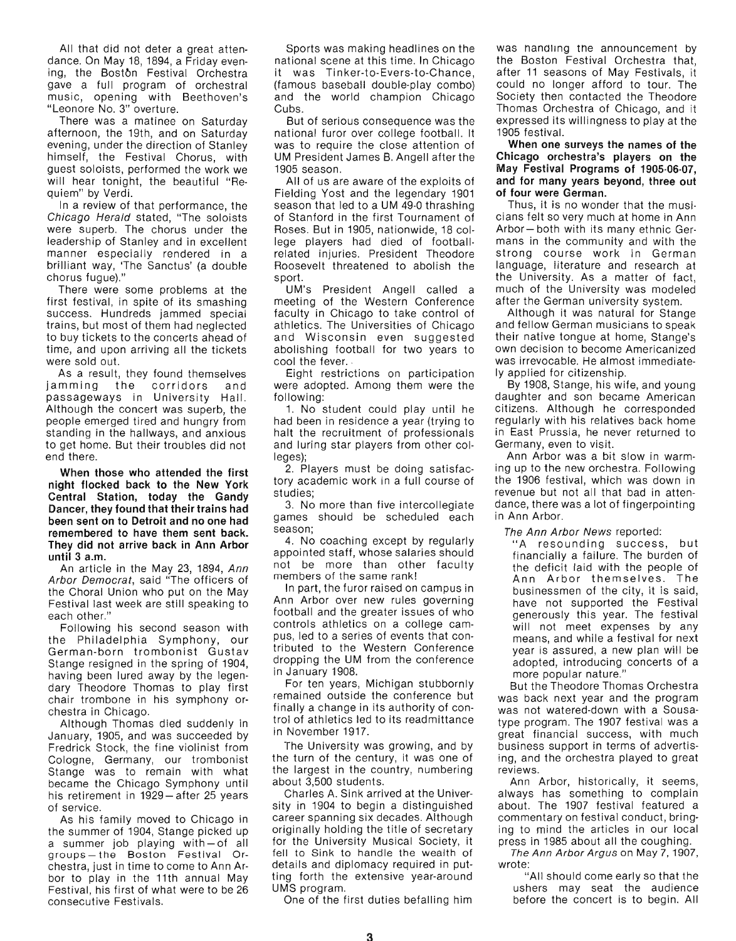All that did not deter a great attendance. On May 18,1894, a Friday evening, the Bostbn Festival Orchestra gave a full program of orchestral music, opening with Beethoven's "Leonore NO.3" overture.

There was a matinee on Saturday afternoon, the 19th, and on Saturday evening, under the direction of Stanley himself, the Festival Chorus, with guest soloists, performed the work we will hear tonight, the beautiful "Requiem" by Verdi.

In a review of that performance, the Chicago Herald stated, "The soloists were superb. The chorus under the leadership of Stanley and in excellent manner especially rendered in a brilliant way, 'The Sanctus' (a double chorus fugue)."

There were some problems at the first festival, in spite of its smashing success. Hundreds jammed special trains, but most of them had neglected to buy tickets to the concerts ahead of time, and upon arriving all the tickets were sold out.

As a result, they found themselves jamming the corridors and passageways in University Hall. Although the concert was superb, the people emerged tired and hungry from standing in the hallways, and anxious to get home. But their troubles did not end there.

When those who attended the first night flocked back to the New York Central Station, today the Gandy Dancer, they found that their trains had been sent on to Detroit and no one had remembered to have them sent back\_ They did not arrive back in Ann Arbor until 3 a.m.

An article in the May 23, 1894, Ann Arbor Democrat, said "The officers of the Choral Union who put on the May Festival last week are still speaking to each other."

Following his second season with the Philadelphia Symphony, our German-born trombonist Gustav Stange resigned in the spring of 1904, having been lured away by the legendary Theodore Thomas to play first chair trombone in his symphony orchestra in Chicago.

Although Thomas died suddenly in January, 1905, and was succeeded by Fredrick Stock, the fine violinist from Cologne, Germany, our trombonist Stange was to remain with what became the Chicago Symphony until his retirement in 1929-after 25 years of service.

As his family moved to Chicago in the summer of 1904, Stange picked up a summer job playing with-of all groups-the Boston Festival Orchestra, just in time to come to Ann Arbor to play in the 11th annual May Festival, his first of what were to be 26 consecutive Festivals.

Sports was making headlines on the national scene at this time. In Chicago it was Tinker-to-Evers-to-Chance, (famous baseball double-play combo) and the world champion Chicago Cubs.

But of serious consequence was the national furor over college football. It was to require the close attention of UM President James B. Angell after the 1905 season.

All of us are aware of the exploits of Fielding Yost and the legendary 1901 season that led to a UM 49-0 thrashing of Stanford in the first Tournament of Roses. But in 1905, nationwide, 18 college players had died of footballrelated injuries. President Theodore Roosevelt threatened to abolish the sport.

UM's President Angell called a meeting of the Western Conference faculty in Chicago to take control of athletics. The Universities of Chicago and Wisconsin even suggested abolishing football for two years to cool the fever. .

Eight restrictions on participation were adopted. Among them were the following:

1. No student could play until he had been in residence a year (trying to halt the recruitment of professionals and luring star players from other colleges);

2. Players must be dOing satisfactory academic work in a full course of studies;

3. No more than five intercollegiate games should be scheduled each season;

4. No coaching except by regularly appointed staff, whose salaries should not be more than other faculty members of the same rank!

In part, the furor raised on campus in Ann Arbor over new rules governing football and the greater issues of who controls athletics on a college campus, led to a series of events that contributed to the Western Conference dropping the UM from the conference in January 1908.

For ten years, Michigan stubbornly remained outside the conference but finally a change in its authority of control of athletics led to its readmittance in November 1917.

The University was growing, and by the turn of the century, it was one of the largest in the country, numbering about 3,500 students.

Charles A. Sink arrived at the University in 1904 to begin a distinguished career spanning six decades. Although originally holding the title of secretary for the University Musical Society, it fell to Sink to handle the wealth of details and diplomacy required in putting forth the extensive year-around UMS program.

One of the first duties befalling him

was handling the announcement by the Boston Festival Orchestra that, after 11 seasons of May Festivals, it could no longer afford to tour. The Society then contacted the Theodore Thomas Orchestra of Chicago, and it expressed its willingness to play at the 1905 festival.

When one surveys the names of the Chicago orchestra's players on the May Festival Programs of 1905-06-07, and for many years beyond, three out of four were German.

Thus, it is no wonder that the musicians felt so very much at home in Ann Arbor - both with its many ethnic Germans in the community and with the strong course work in German language, literature and research at the University. As a matter of fact, much of the University was modeled after the German university system.

Although it was natural for Stange and fellow German musicians to speak their native tongue at home, Stange's own decision to become Americanized was irrevocable. He almost immediately applied for citizenship.

By 1908, Stange, his wife, and young daughter and son became American citizens. Although he corresponded regularly with his relatives back home in East Prussia, he never returned to Germany, even to visit.

Ann Arbor was a bit slow in warming up to the new orchestra. Following the 1906 festival, which was down in revenue but not all that bad in attendance, there was a lot of fingerpointing in Ann Arbor.

### The Ann Arbor News reported:

"A resounding success, but financially a failure. The burden of the deficit laid with the people of Ann Arbor themselves. The businessmen of the city, it is said, have not supported the Festival generously this year. The festival will not meet expenses by any means, and while a festival for next year is assured, a new plan will be adopted, introducing concerts of a more popular nature."

But the Theodore Thomas Orchestra was back next year and the program was not watered-down with a Sousatype program. The 1907 festival was a great financial success, with much bus iness support in terms of advertising, and the orchestra played to great reviews.

Ann Arbor, historically, it seems, always has something to complain about. The 1907 festival featured a commentary on festival conduct, bringing to mind the articles in our local press in 1985 about all the coughing.

The Ann Arbor Argus on May 7, 1907, wrote:

"All should come early so that the ushers may seat the audience before the concert is to begin. All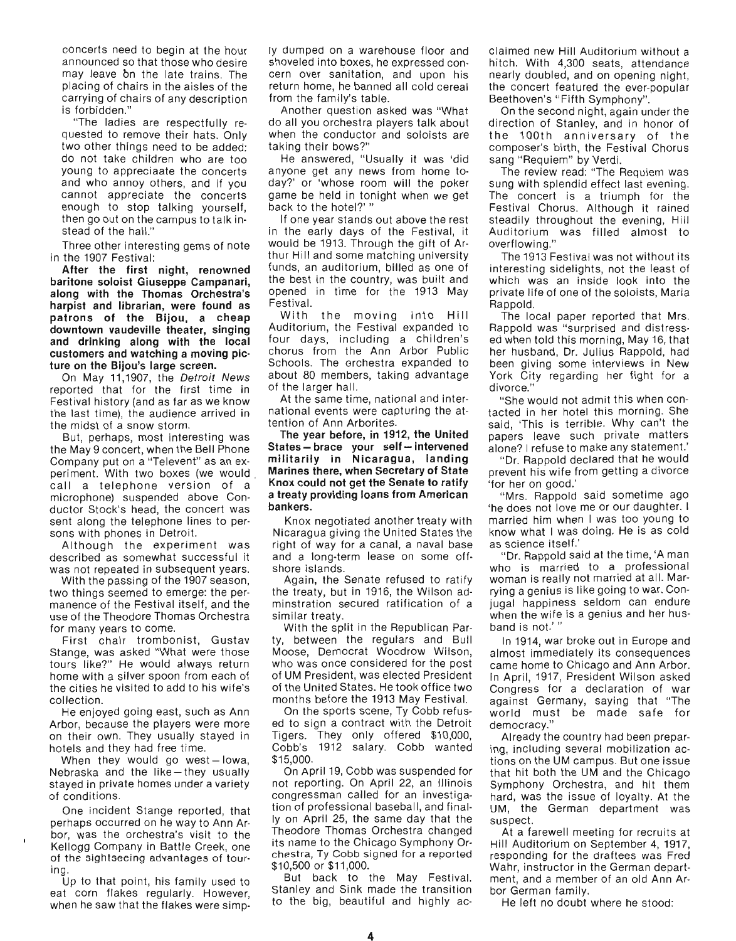concerts need to begin at the hour announced so that those who desire may leave bn the late trains. The placing of chairs in the aisles of the carrying of chairs of any description is forbidden."

"The ladies are respectfully requested to remove their hats. Only two other things need to be added: do not take children who are too young to appreciaate the concerts and who annoy others, and if you cannot appreciate the concerts enough to stop talking yourself, then go out on the campus to talk instead of the hall."

Three other interesting gems of note in the 1907 Festival:

**After the first night, renowned baritone soloist Giuseppe Campanari, along with the Thomas Orchestra's harpist and librarian, were found as patrons of the Bijou, a cheap downtown vaudeville theater, singing and drinking along with the local customers and watching a moving picture on the Bijou's large screen.** 

On May 11,1907, the Detroit News reported that for the first time in Festival history (and as far as we know the last time), the audience arrived in the midst of a snow storm.

But, perhaps, most interesting was the May 9 concert, when the Bell Phone Company put on a "Televent" as an experiment. With two boxes (we would call a telephone version of a microphone) suspended above Conductor Stock's head, the concert was sent along the telephone lines to persons with phones in Detroit.

Although the experiment was described as somewhat successful it was not repeated in subsequent years.

With the passing of the 1907 season, two things seemed to emerge: the permanence of the Festival itself, and the use of the Theodore Thomas Orchestra for many years to come.

First chair trombonist, Gustav Stange, was asked "What were those tours like?" He would always return home with a silver spoon from each of the cities he visited to add to his wife's collection.

He enjoyed going east, such as Ann Arbor, because the players were more on their own. They usually stayed in hotels and they had free time.

When they would go west-lowa, Nebraska and the like-they usually stayed in private homes under a variety of conditions.

One incident Stange reported, that perhaps occurred on he way to Ann Arbor, was the orchestra's visit to the Kellogg Company in Battle Creek, one of the sightseeing advantages of touring.

Up to that point, his family used to eat corn flakes regularly. However, when he saw that the flakes were simpIy dumped on a warehouse floor and shoveled into boxes, he expressed concern over sanitation, and upon his return home, he banned all cold cereal from the family's table.

Another question asked was "What do all you orchestra players talk about when the conductor and soloists are taking their bows?"

He answered, "Usually it was 'did anyone get any news from home today?' or 'whose room will the poker game be held in tonight when we get back to the hotel?' "

If one year stands out above the rest in the early days of the Festival, it would be 1913. Through the gift of Arthur Hill and some matching university funds, an auditorium, billed as one of the best in the country, was built and opened in time for the 1913 May Festival.

With the moving into Hill Auditorium, the Festival expanded to four days, including a children's chorus from the Ann Arbor Public Schools. The orchestra expanded to about 80 members, taking advantage of the larger hall.

At the same time, national and international events were capturing the attention of Ann Arborites.

**The year before, in 1912, the United**   $States - trace$  your self-intervened **militarily in Nicaragua, landing Marines there, when Secretary of State Knox could not get the Senate to ratify a treaty providing loans from American bankers.** 

Knox negotiated another treaty with Nicaragua giving the United States the right of way for a canal, a naval base and a long-term lease on some offshore islands.

Again, the Senate refused to ratify the treaty, but in 1916, the Wilson adminstration secured ratification of a similar treaty.

With the split in the Republican Party, between the regulars and Bull Moose, Democrat Woodrow Wilson, who was once considered for the post of UM PreSident, was elected President of the United States. He took office two months before the 1913 May Festival.

On the sports scene, Ty Cobb refused to sign a contract with the Detroit Tigers. They only offered \$10,000, Cobb's 1912 salary. Cobb wanted \$15,000.

On April 19, Cobb was suspended for not reporting. On April 22, an Illinois congressman called for an investigation of professional baseball, and finallyon April 25, the same day that the Theodore Thomas Orchestra changed its name to the Chicago Symphony Orchestra, Ty Cobb signed for a reported \$10,500 or \$11 ,000.

But back to the May Festival. Stanley and Sink made the transition to the big, beautiful and highly acclaimed new Hill Auditorium without a hitch. With 4,300 seats, attendance nearly doubled, and on opening night, the concert featured the ever-popular Beethoven's "Fifth Symphony".

On the second night, again under the direction of Stanley, and in honor of the 100th anniversary of the composer's birth, the Festival Chorus sang "Requiem" by Verdi.

The review read: "The Requiem was sung with splendid effect last evening. The concert is a triumph for the Festival Chorus. Although it rained steadily throughout the evening, Hill Auditorium was filled almost to overflowing."

The 1913 Festival was not without its interesting sidelights, not the least of which was an inside look into the private life of one of the soloists, Maria Rappold.

The local paper reported that Mrs. Rappold was "surprised and distressed when told this morning, May 16, that her husband, Dr. Julius Rappold, had been giving some interviews in New York City regarding her fight for a divorce."

"She would not admit this when contacted in her hotel this morning. She said, 'This is terrible. Why can't the papers leave such private matters alone? I refuse to make any statement.'

" Dr. Rappold declared that he would prevent his wife from getting a divorce 'for her on good.'

" Mrs. Rappold said sometime ago 'he does not love me or our daughter. I married him when I was too young to know what I was doing. He is as cold as science itself.'

"Dr. Rappold said at the time, 'A man who is married to a professional woman is really not married at all. Marrying a genius is like going to war. Conjugal happiness seldom can endure when the wife is a genius and her husband is not.' "

In 1914, war broke out in Europe and almost immediately its consequences came home to Chicago and Ann Arbor. In April, 1917, President Wilson asked Congress for a declaration of war against Germany, saying that "The world must be made safe for democracy."

Already the country had been preparing, including several mobilization actions on the UM campus. But one issue that hit both the UM and the Chicago Symphony Orchestra, and hit them hard, was the issue of loyalty. At the UM, the German department was suspect.

At a farewell meeting for recruits at Hill Auditorium on September 4, 1917, responding for the draftees was Fred Wahr, instructor in the German department, and a member of an old Ann Arbor German family.

He left no doubt where he stood: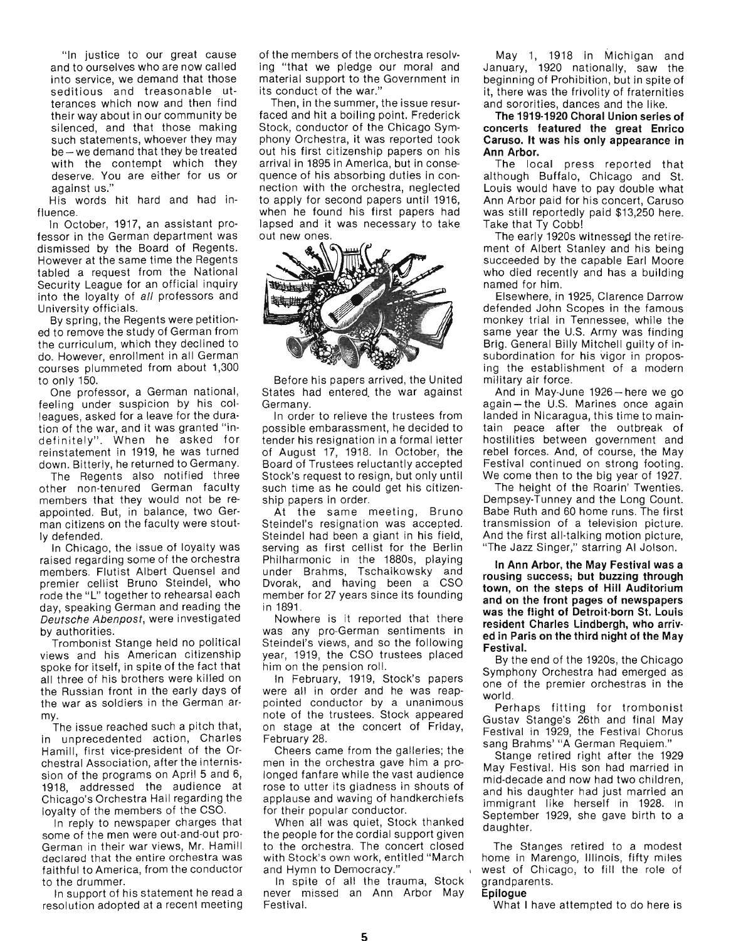"In justice to our great cause and to ourselves who are now called into service, we demand that those seditious and treasonable utterances which now and then find their way about in our community be silenced, and that those making such statements, whoever they may be - we demand that they be treated with the contempt which they deserve. You are either for us or against us."

His words hit hard and had influence.

In October, 1917, an assistant professor in the German department was dismi ssed by the Board of Regents. However at the same time the Regents tabled a req uest from the National Security League for an official inquiry into the loyalty of all professors and University officials.

By spring, the Regents were petitioned to remove the study of German from the curriculum, which they declined to do. However, enrollment in all German courses plummeted from about 1,300 to only 150.

One professor, a German national, feeling under suspicion by his colleagues, asked for a leave for the duration of the war, and it was granted "indefinitely". When he asked for reinstatement in 1919, he was turned down. Bitterly, he returned to Germany.

The Regents also notified three other non-tenured German faculty members that they would not be reappointed. But, in balance, two German citizens on the faculty were stoutly defended.

In Chicago, the issue of loyalty was raised regarding some of the orchestra members. Flutist Albert Quensel and premier cellist Bruno Steindel, who rode the "L" together to rehearsal each day, speaking German and reading the Deutsche Abenpost, were investigated by authorities.

Trombonist Stange held no political views and his American citizenship spoke for itself, in spite of the fact that all three of his brothers were killed on the Russian front in the early days of the war as soldiers in the German army.

The issue reached such a pitch that, in unprecedented action, Charles Hamill, first vice-president of the Orchestral Association, after the internission of the programs on April 5 and 6, 1918, addressed the audience at Chicago's Orchestra Hall regarding the loyalty of the members of the CSO.

In reply to newspaper charges that some of the men were out-and-out pro-German in their war views, Mr. Hamill declared that the entire orchestra was faithful to America, from the conductor to the drummer.

In support of his statement he read a resolution adopted at a recent meeting

of the members of the orchestra resolving "that we pledge our moral and material support to the Government in its conduct of the war."

Then, in the summer, the issue resurfaced and hit a boiling point. Frederick Stock, conductor of the Chicago Symphony Orchestra, it was reported took out his first citizenship papers on his arrival in 1895 in America, but in consequence of his absorbing duties in connection with the orchestra, neglected to apply for second papers until 1916, when he found his first papers had lapsed and it was necessary to take out new ones.



Before his papers arrived, the United military air force. States had entered the war against And in May-June 1926 - here we go Germany. **Example 20 again - the U.S. Marines once again** 

possible embarassment, he decided to tain peace after the outbreak of tender his resignation in a formal letter hostilities between government and of August 17, 1918. In October, the rebel forces. And, of course, the May Board of Trustees reluctantly accepted Festival continued on strong footing. Stock's request to resign, but only until We come then to the big year of 1927. such time as he could get his citizen-<br>The height of the Roarin' Twenties.

Steindel's resignation was accepted. transmission of a television picture. Steindel had been a giant in his field, And the first all-talking motion picture, serving as first cellist for the Berlin . "The Jazz Singer," starring AI Jolson. Philharmonic in the 1880s, playing **In Ann Arbor, the May Festival was a** under Brahms, Tschaikowsky and **rousing success; but buzzing through**  Dvorak, and having been a CSO **town, on the steps of Hill Auditorium**  member for 27 years since its founding<br>in 1891.

year, 1919, the CSO trustees placed

were all in order and he was reap-<br>world. pointed conductor by a unanimous world.<br>Rechaps fitting for trombonist note of the trustees. Stock appeared Gustav Stange's 26th and final May on stage at the concert of Friday, Festival in 1929, the Festival Chorus

Cheers came from the galleries; the Stange retired right after the 1929 men in the orchestra gave him a pro-<br>have Festival. His son had married in longed fanfare while the vast audience mid-decade and now had two children, rose to utter its gladness in shouts of and his daughter had just married an applause and waving of handkerchiefs immigrant like herself in 1928. In

When all was quiet, Stock thanked daughter. the people for the cordial support given to the orchestra. The concert closed The Stanges retired to a modest with Stock's own work, entitled "March home in Marengo, Illinois, fifty miles

In spite of all the trauma, Stock grandparents. never missed an Ann Arbor May **Epilogue**  Festival. What I have attempted to do here is

May 1, 1918 in Michigan and January, 1920 nationally, saw the beginning of Prohibition, but in spite of it, there was the frivolity of fraternities and sororities, dances and the like.

**The 1919-1920 Choral Union series of concerts featured the great Enrico Caruso. It was his only appearance in Ann Arbor.** 

The local press reported that although Buffalo, Chicago and St. Louis would have to pay double what Ann Arbor paid for his concert, Caruso was still reportedly paid \$13,250 here. Take that Ty Cobb!

The early 1920s witnessed the retirement of Albert Stanley and his being succeeded by the capable Earl Moore who died recently and has a building named for him.

Elsewhere, in 1925, Clarence Darrow defended John Scopes in the famous monkey trial in Tennessee, while the same year the U.S. Army was finding Brig. General Billy Mitchell guilty of insubordination for his vigor in proposing the establishment of a modern

In order to relieve the trustees from landed in Nicaragua, this time to main-

ship papers in order. The state of the Dempsey-Tunney and the Long Count. At the same meeting, Bruno Babe Ruth and 60 home runs. The first

Nowhere is it reported that there **was the flight of Detroit·born St. Louis resident Charles Lindbergh, who arriv-**<br>was any pro-German sentiments in **ed in Paris on the third night of the May**<br>Steindel's views, and so the following **Festival.** 

year, 1919, the CSO trustees placed<br>him on the pension roll. Symphony Orchestra had emerged as In February, 1919, Stock's papers one of the premier orchestras in the

February 28. sang Brahms' "A German Requiem."

for their popular conductor. September 1929, she gave birth to a

and Hymn to Democracy." **I contain the role of Chicago**, to fill the role of